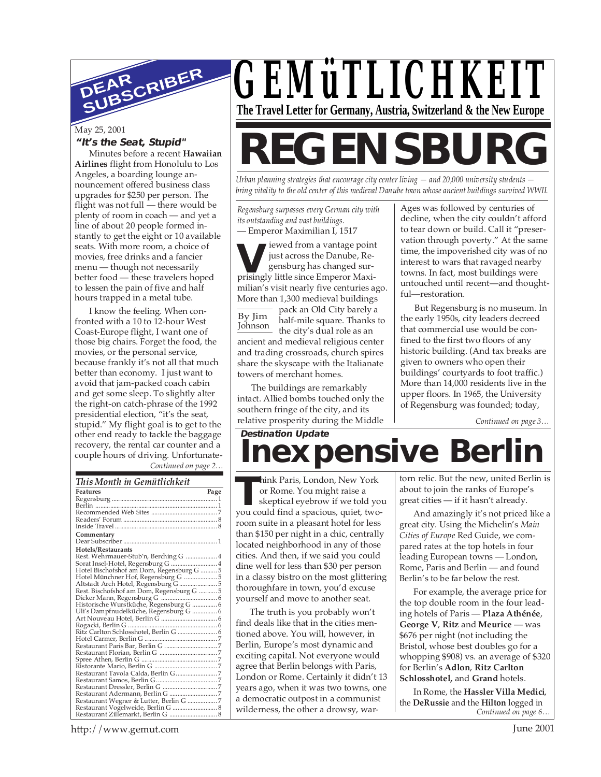

#### May 25, 2001

#### **"It's the Seat, Stupid"**

Minutes before a recent **Hawaiian Airlines** flight from Honolulu to Los Angeles, a boarding lounge announcement offered business class upgrades for \$250 per person. The flight was not full — there would be plenty of room in coach — and yet a line of about 20 people formed instantly to get the eight or 10 available seats. With more room, a choice of movies, free drinks and a fancier menu — though not necessarily better food — these travelers hoped to lessen the pain of five and half hours trapped in a metal tube.

*Continued on page 2…* I know the feeling. When confronted with a 10 to 12-hour West Coast-Europe flight, I want one of those big chairs. Forget the food, the movies, or the personal service, because frankly it's not all that much better than economy. I just want to avoid that jam-packed coach cabin and get some sleep. To slightly alter the right-on catch-phrase of the 1992 presidential election, "it's the seat, stupid." My flight goal is to get to the other end ready to tackle the baggage recovery, the rental car counter and a couple hours of driving. Unfortunate-

#### *This Month in Gemütlichkeit*

| Page<br><b>Features</b><br>Commentary<br>Hotels/Restaurants<br>Rest. Wehrmauer-Stub'n, Berching G  4<br>Sorat Insel-Hotel, Regensburg G  4<br>Hotel Bischofshof am Dom, Regensburg G  5<br>Hotel Münchner Hof, Regensburg G 5<br>Altstadt Arch Hotel, Regensburg G 5<br>Rest. Bischofshof am Dom, Regensburg G  5<br>Historische Wurstküche, Regensburg G  6<br>Uli's Dampfnudelküche, Regensburg G  6<br>Restaurant Wegner & Lutter, Berlin G 7<br>Restaurant Vogelweide, Berlin G  8<br>Restaurant Zillemarkt, Berlin G  8 |  |
|------------------------------------------------------------------------------------------------------------------------------------------------------------------------------------------------------------------------------------------------------------------------------------------------------------------------------------------------------------------------------------------------------------------------------------------------------------------------------------------------------------------------------|--|
|                                                                                                                                                                                                                                                                                                                                                                                                                                                                                                                              |  |
|                                                                                                                                                                                                                                                                                                                                                                                                                                                                                                                              |  |
|                                                                                                                                                                                                                                                                                                                                                                                                                                                                                                                              |  |
|                                                                                                                                                                                                                                                                                                                                                                                                                                                                                                                              |  |
|                                                                                                                                                                                                                                                                                                                                                                                                                                                                                                                              |  |
|                                                                                                                                                                                                                                                                                                                                                                                                                                                                                                                              |  |
|                                                                                                                                                                                                                                                                                                                                                                                                                                                                                                                              |  |
|                                                                                                                                                                                                                                                                                                                                                                                                                                                                                                                              |  |
|                                                                                                                                                                                                                                                                                                                                                                                                                                                                                                                              |  |
|                                                                                                                                                                                                                                                                                                                                                                                                                                                                                                                              |  |
|                                                                                                                                                                                                                                                                                                                                                                                                                                                                                                                              |  |
|                                                                                                                                                                                                                                                                                                                                                                                                                                                                                                                              |  |
|                                                                                                                                                                                                                                                                                                                                                                                                                                                                                                                              |  |
|                                                                                                                                                                                                                                                                                                                                                                                                                                                                                                                              |  |
|                                                                                                                                                                                                                                                                                                                                                                                                                                                                                                                              |  |
|                                                                                                                                                                                                                                                                                                                                                                                                                                                                                                                              |  |
|                                                                                                                                                                                                                                                                                                                                                                                                                                                                                                                              |  |
|                                                                                                                                                                                                                                                                                                                                                                                                                                                                                                                              |  |
|                                                                                                                                                                                                                                                                                                                                                                                                                                                                                                                              |  |
|                                                                                                                                                                                                                                                                                                                                                                                                                                                                                                                              |  |
|                                                                                                                                                                                                                                                                                                                                                                                                                                                                                                                              |  |
|                                                                                                                                                                                                                                                                                                                                                                                                                                                                                                                              |  |
|                                                                                                                                                                                                                                                                                                                                                                                                                                                                                                                              |  |
|                                                                                                                                                                                                                                                                                                                                                                                                                                                                                                                              |  |
|                                                                                                                                                                                                                                                                                                                                                                                                                                                                                                                              |  |
|                                                                                                                                                                                                                                                                                                                                                                                                                                                                                                                              |  |
|                                                                                                                                                                                                                                                                                                                                                                                                                                                                                                                              |  |
|                                                                                                                                                                                                                                                                                                                                                                                                                                                                                                                              |  |
|                                                                                                                                                                                                                                                                                                                                                                                                                                                                                                                              |  |
|                                                                                                                                                                                                                                                                                                                                                                                                                                                                                                                              |  |
|                                                                                                                                                                                                                                                                                                                                                                                                                                                                                                                              |  |



# **REGENSBURG**

*Urban planning strategies that encourage city center living — and 20,000 university students bring vitality to the old center of this medieval Danube town whose ancient buildings survived WWII.*

*Regensburg surpasses every German city with its outstanding and vast buildings.* — Emperor Maximilian I, 1517

**VECTOR EXECUTE SINCE SERVIST** just across the Danube, Regensburg has changed surprisingly little since Emperor Maxiiewed from a vantage point just across the Danube, Regensburg has changed surmilian's visit nearly five centuries ago. More than 1,300 medieval buildings

pack an Old City barely a half-mile square. Thanks to the city's dual role as an ancient and medieval religious center and trading crossroads, church spires share the skyscape with the Italianate towers of merchant homes. By Jim Johnson

The buildings are remarkably intact. Allied bombs touched only the southern fringe of the city, and its relative prosperity during the Middle

Ages was followed by centuries of decline, when the city couldn't afford to tear down or build. Call it "preservation through poverty." At the same time, the impoverished city was of no interest to wars that ravaged nearby towns. In fact, most buildings were untouched until recent—and thoughtful—restoration.

But Regensburg is no museum. In the early 1950s, city leaders decreed that commercial use would be confined to the first two floors of any historic building. (And tax breaks are given to owners who open their buildings' courtyards to foot traffic.) More than 14,000 residents live in the upper floors. In 1965, the University of Regensburg was founded; today,

*Continued on page 3…*

**Destination Update**

## **Inexpensive Berlin**

hink Paris, London, New York or Rome. You might raise a

**TERN FACTS, London, New York**<br>
or Rome. You might raise a<br>
skeptical eyebrow if we told you<br>
you could find a spacious, quiet, twoskeptical eyebrow if we told you room suite in a pleasant hotel for less than \$150 per night in a chic, centrally located neighborhood in any of those cities. And then, if we said you could dine well for less than \$30 per person in a classy bistro on the most glittering thoroughfare in town, you'd excuse yourself and move to another seat.

The truth is you probably won't find deals like that in the cities mentioned above. You will, however, in Berlin, Europe's most dynamic and exciting capital. Not everyone would agree that Berlin belongs with Paris, London or Rome. Certainly it didn't 13 years ago, when it was two towns, one a democratic outpost in a communist wilderness, the other a drowsy, wartorn relic. But the new, united Berlin is about to join the ranks of Europe's great cities — if it hasn't already.

And amazingly it's not priced like a great city. Using the Michelin's *Main Cities of Europe* Red Guide, we compared rates at the top hotels in four leading European towns — London, Rome, Paris and Berlin — and found Berlin's to be far below the rest.

For example, the average price for the top double room in the four leading hotels of Paris — **Plaza Athénée**, **George V**, **Ritz** and **Meurice** — was \$676 per night (not including the Bristol, whose best doubles go for a whopping \$908) vs. an average of \$320 for Berlin's **Adlon**, **Ritz Carlton Schlosshotel,** and **Grand** hotels.

*Continued on page 6…* In Rome, the **Hassler Villa Medici**, the **DeRussie** and the **Hilton** logged in

http://www.gemut.com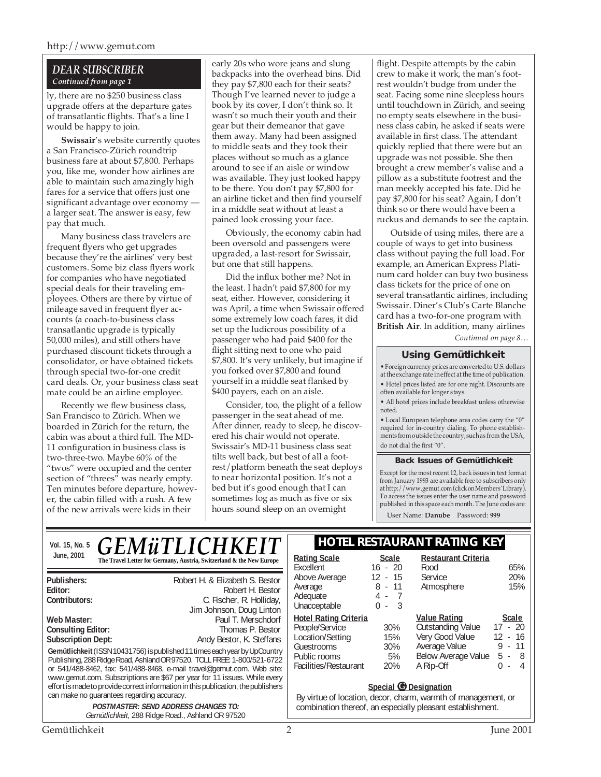#### *DEAR SUBSCRIBER Continued from page 1*

ly, there are no \$250 business class upgrade offers at the departure gates of transatlantic flights. That's a line I would be happy to join.

**Swissair**'s website currently quotes a San Francisco-Zürich roundtrip business fare at about \$7,800. Perhaps you, like me, wonder how airlines are able to maintain such amazingly high fares for a service that offers just one significant advantage over economy a larger seat. The answer is easy, few pay that much.

Many business class travelers are frequent flyers who get upgrades because they're the airlines' very best customers. Some biz class flyers work for companies who have negotiated special deals for their traveling employees. Others are there by virtue of mileage saved in frequent flyer accounts (a coach-to-business class transatlantic upgrade is typically 50,000 miles), and still others have purchased discount tickets through a consolidator, or have obtained tickets through special two-for-one credit card deals. Or, your business class seat mate could be an airline employee.

Recently we flew business class, San Francisco to Zürich. When we boarded in Zürich for the return, the cabin was about a third full. The MD-11 configuration in business class is two-three-two. Maybe 60% of the "twos" were occupied and the center section of "threes" was nearly empty. Ten minutes before departure, however, the cabin filled with a rush. A few of the new arrivals were kids in their

early 20s who wore jeans and slung backpacks into the overhead bins. Did they pay \$7,800 each for their seats? Though I've learned never to judge a book by its cover, I don't think so. It wasn't so much their youth and their gear but their demeanor that gave them away. Many had been assigned to middle seats and they took their places without so much as a glance around to see if an aisle or window was available. They just looked happy to be there. You don't pay \$7,800 for an airline ticket and then find yourself in a middle seat without at least a pained look crossing your face.

Obviously, the economy cabin had been oversold and passengers were upgraded, a last-resort for Swissair, but one that still happens.

Did the influx bother me? Not in the least. I hadn't paid \$7,800 for my seat, either. However, considering it was April, a time when Swissair offered some extremely low coach fares, it did set up the ludicrous possibility of a passenger who had paid \$400 for the flight sitting next to one who paid \$7,800. It's very unlikely, but imagine if you forked over \$7,800 and found yourself in a middle seat flanked by \$400 payers, each on an aisle.

Consider, too, the plight of a fellow passenger in the seat ahead of me. After dinner, ready to sleep, he discovered his chair would not operate. Swissair's MD-11 business class seat tilts well back, but best of all a footrest/platform beneath the seat deploys to near horizontal position. It's not a bed but it's good enough that I can sometimes log as much as five or six hours sound sleep on an overnight

flight. Despite attempts by the cabin crew to make it work, the man's footrest wouldn't budge from under the seat. Facing some nine sleepless hours until touchdown in Zürich, and seeing no empty seats elsewhere in the business class cabin, he asked if seats were available in first class. The attendant quickly replied that there were but an upgrade was not possible. She then brought a crew member's valise and a pillow as a substitute footrest and the man meekly accepted his fate. Did he pay \$7,800 for his seat? Again, I don't think so or there would have been a ruckus and demands to see the captain.

Outside of using miles, there are a couple of ways to get into business class without paying the full load. For example, an American Express Platinum card holder can buy two business class tickets for the price of one on several transatlantic airlines, including Swissair. Diner's Club's Carte Blanche card has a two-for-one program with **British Air**. In addition, many airlines

*Continued on page 8…*

#### **Using Gemütlichkeit**

• Foreign currency prices are converted to U.S. dollars at the exchange rate in effect at the time of publication.

• Hotel prices listed are for one night. Discounts are often available for longer stays.

• All hotel prices include breakfast unless otherwise noted.

• Local European telephone area codes carry the "0" required for in-country dialing. To phone establishments from outside the country, such as from the USA, do not dial the first "0".

#### **Back Issues of Gemütlichkeit**

Except for the most recent 12, back issues in text format from January 1993 are available free to subscribers only at http://www.gemut.com (click on Members' Library). To access the issues enter the user name and password published in this space each month. The June codes are:

User Name: **Danube** Password: **999**

| Vol. 15, No. 5                                                                    | <i><b>GEMüTLICHKEIT</b></i>                                                                                                                           |                                                                                                                             |                             | <b>HOTEL RESTAURANT RATING KEY</b> |                                    |
|-----------------------------------------------------------------------------------|-------------------------------------------------------------------------------------------------------------------------------------------------------|-----------------------------------------------------------------------------------------------------------------------------|-----------------------------|------------------------------------|------------------------------------|
| June, 2001                                                                        | The Travel Letter for Germany, Austria, Switzerland & the New Europe                                                                                  | <b>Rating Scale</b>                                                                                                         | <b>Scale</b>                | <b>Restaurant Criteria</b>         |                                    |
|                                                                                   |                                                                                                                                                       | Excellent                                                                                                                   | $16 - 20$                   | Food                               | 65%                                |
| Publishers:                                                                       | Robert H. & Elizabeth S. Bestor                                                                                                                       | Above Average                                                                                                               | $12 - 15$                   | Service                            | 20%                                |
| Editor:                                                                           | Robert H. Bestor                                                                                                                                      | Average                                                                                                                     | $8 - 11$                    | Atmosphere                         | 15%                                |
| Contributors:                                                                     | C. Fischer, R. Holliday,                                                                                                                              | Adequate                                                                                                                    | - 7<br>4 -                  |                                    |                                    |
|                                                                                   | Jim Johnson, Doug Linton                                                                                                                              | Unacceptable                                                                                                                | $\Omega$<br>- 3<br>$\omega$ |                                    |                                    |
| Web Master:                                                                       | Paul T. Merschdorf                                                                                                                                    | <b>Hotel Rating Criteria</b>                                                                                                |                             | <b>Value Rating</b>                | <b>Scale</b>                       |
| <b>Consulting Editor:</b>                                                         | Thomas P. Bestor                                                                                                                                      | People/Service                                                                                                              | 30%                         | <b>Outstanding Value</b>           | $17 - 20$                          |
| <b>Subscription Dept:</b>                                                         | Andy Bestor, K. Steffans                                                                                                                              | Location/Setting                                                                                                            | 15%                         | Very Good Value                    | $12 - 16$                          |
|                                                                                   |                                                                                                                                                       | Guestrooms                                                                                                                  | 30%                         | Average Value                      | -11<br>9-                          |
|                                                                                   | Gemütlichkeit (ISSN 10431756) is published 11 times each year by UpCountry<br>Publishing, 288 Ridge Road, Ashland OR 97520. TOLL FREE: 1-800/521-6722 | Public rooms                                                                                                                | 5%                          | Below Average Value                | - 8<br>5<br>$\sim$                 |
|                                                                                   | or 541/488-8462, fax: 541/488-8468, e-mail travel@gemut.com. Web site:                                                                                | Facilities/Restaurant                                                                                                       | 20%                         | A Rip-Off                          | 0<br>4<br>$\overline{\phantom{a}}$ |
|                                                                                   | www.gemut.com. Subscriptions are \$67 per year for 11 issues. While every                                                                             |                                                                                                                             |                             |                                    |                                    |
| effort is made to provide correct information in this publication, the publishers |                                                                                                                                                       | Special C Designation                                                                                                       |                             |                                    |                                    |
| can make no quarantees regarding accuracy.                                        |                                                                                                                                                       |                                                                                                                             |                             |                                    |                                    |
|                                                                                   | <b>POSTMASTER: SEND ADDRESS CHANGES TO:</b>                                                                                                           | By virtue of location, decor, charm, warmth of management, or<br>combination thereof, an especially pleasant establishment. |                             |                                    |                                    |
|                                                                                   | Gemütlichkeit, 288 Ridge Road., Ashland OR 97520                                                                                                      |                                                                                                                             |                             |                                    |                                    |
| Gemütlichkeit<br>Iune 2001                                                        |                                                                                                                                                       |                                                                                                                             |                             |                                    |                                    |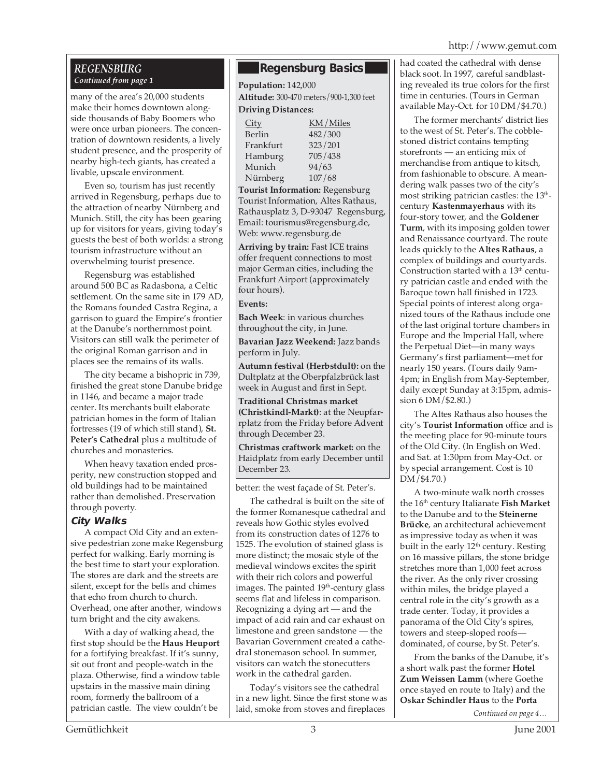#### http://www.gemut.com

## *REGENSBURG*

many of the area's 20,000 students make their homes downtown alongside thousands of Baby Boomers who were once urban pioneers. The concentration of downtown residents, a lively student presence, and the prosperity of nearby high-tech giants, has created a livable, upscale environment.

Even so, tourism has just recently arrived in Regensburg, perhaps due to the attraction of nearby Nürnberg and Munich. Still, the city has been gearing up for visitors for years, giving today's guests the best of both worlds: a strong tourism infrastructure without an overwhelming tourist presence.

Regensburg was established around 500 BC as Radasbona, a Celtic settlement. On the same site in 179 AD, the Romans founded Castra Regina, a garrison to guard the Empire's frontier at the Danube's northernmost point. Visitors can still walk the perimeter of the original Roman garrison and in places see the remains of its walls.

The city became a bishopric in 739, finished the great stone Danube bridge in 1146, and became a major trade center. Its merchants built elaborate patrician homes in the form of Italian fortresses (19 of which still stand), **St. Peter's Cathedral** plus a multitude of churches and monasteries.

When heavy taxation ended prosperity, new construction stopped and old buildings had to be maintained rather than demolished. Preservation through poverty.

#### **City Walks**

A compact Old City and an extensive pedestrian zone make Regensburg perfect for walking. Early morning is the best time to start your exploration. The stores are dark and the streets are silent, except for the bells and chimes that echo from church to church. Overhead, one after another, windows turn bright and the city awakens.

With a day of walking ahead, the first stop should be the **Haus Heuport** for a fortifying breakfast. If it's sunny, sit out front and people-watch in the plaza. Otherwise, find a window table upstairs in the massive main dining room, formerly the ballroom of a patrician castle. The view couldn't be

#### **Regensburg Basics**

*Continued from page 1* **Population:** 142,000 **Altitude:** 300-470 meters/900-1,300 feet **Driving Distances:**

| City      | KM/Miles |
|-----------|----------|
| Berlin    | 482/300  |
| Frankfurt | 323/201  |
| Hamburg   | 705/438  |
| Munich    | 94/63    |
| Nürnberg  | 107/68   |

**Tourist Information:** Regensburg Tourist Information, Altes Rathaus, Rathausplatz 3, D-93047 Regensburg, Email: tourismus@regensburg.de, Web: www.regensburg.de

**Arriving by train:** Fast ICE trains offer frequent connections to most major German cities, including the Frankfurt Airport (approximately four hours).

#### **Events:**

**Bach Week**: in various churches throughout the city, in June.

**Bavarian Jazz Weekend:** Jazz bands perform in July.

**Autumn festival (Herbstdult):** on the Dultplatz at the Oberpfalzbrück last week in August and first in Sept.

**Traditional Christmas market (Christkindl-Markt)**: at the Neupfarrplatz from the Friday before Advent through December 23.

**Christmas craftwork market:** on the Haidplatz from early December until December 23.

better: the west façade of St. Peter's.

The cathedral is built on the site of the former Romanesque cathedral and reveals how Gothic styles evolved from its construction dates of 1276 to 1525. The evolution of stained glass is more distinct; the mosaic style of the medieval windows excites the spirit with their rich colors and powerful images. The painted 19<sup>th</sup>-century glass seems flat and lifeless in comparison. Recognizing a dying art — and the impact of acid rain and car exhaust on limestone and green sandstone — the Bavarian Government created a cathedral stonemason school. In summer, visitors can watch the stonecutters work in the cathedral garden.

Today's visitors see the cathedral in a new light. Since the first stone was laid, smoke from stoves and fireplaces

had coated the cathedral with dense black soot. In 1997, careful sandblasting revealed its true colors for the first time in centuries. (Tours in German available May-Oct. for 10 DM/\$4.70.)

The former merchants' district lies to the west of St. Peter's. The cobblestoned district contains tempting storefronts — an enticing mix of merchandise from antique to kitsch, from fashionable to obscure. A meandering walk passes two of the city's most striking patrician castles: the  $13<sup>th</sup>$ century **Kastenmayerhaus** with its four-story tower, and the **Goldener Turm**, with its imposing golden tower and Renaissance courtyard. The route leads quickly to the **Altes Rathaus**, a complex of buildings and courtyards. Construction started with a 13<sup>th</sup> century patrician castle and ended with the Baroque town hall finished in 1723. Special points of interest along organized tours of the Rathaus include one of the last original torture chambers in Europe and the Imperial Hall, where the Perpetual Diet—in many ways Germany's first parliament—met for nearly 150 years. (Tours daily 9am-4pm; in English from May-September, daily except Sunday at 3:15pm, admission 6 DM/\$2.80.)

The Altes Rathaus also houses the city's **Tourist Information** office and is the meeting place for 90-minute tours of the Old City. (In English on Wed. and Sat. at 1:30pm from May-Oct. or by special arrangement. Cost is 10 DM/\$4.70.)

A two-minute walk north crosses the 16th century Italianate **Fish Market** to the Danube and to the **Steinerne Brücke**, an architectural achievement as impressive today as when it was built in the early  $12<sup>th</sup>$  century. Resting on 16 massive pillars, the stone bridge stretches more than 1,000 feet across the river. As the only river crossing within miles, the bridge played a central role in the city's growth as a trade center. Today, it provides a panorama of the Old City's spires, towers and steep-sloped roofs dominated, of course, by St. Peter's.

From the banks of the Danube, it's a short walk past the former **Hotel Zum Weissen Lamm** (where Goethe once stayed en route to Italy) and the **Oskar Schindler Haus** to the **Porta**

*Continued on page 4…*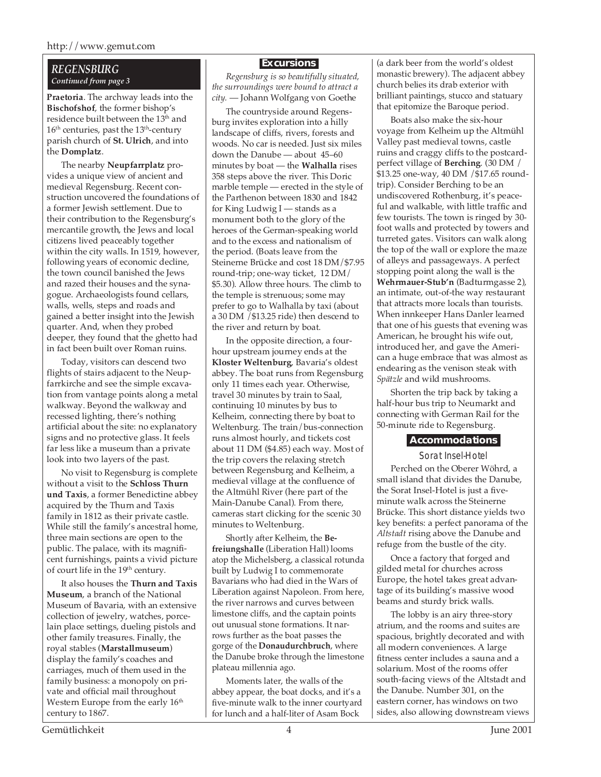#### *REGENSBURG Continued from page 3*

**Praetoria**. The archway leads into the **Bischofshof**, the former bishop's residence built between the 13<sup>th</sup> and 16<sup>th</sup> centuries, past the 13<sup>th</sup>-century parish church of **St. Ulrich**, and into the **Domplatz**.

The nearby **Neupfarrplatz** provides a unique view of ancient and medieval Regensburg. Recent construction uncovered the foundations of a former Jewish settlement. Due to their contribution to the Regensburg's mercantile growth, the Jews and local citizens lived peaceably together within the city walls. In 1519, however, following years of economic decline, the town council banished the Jews and razed their houses and the synagogue. Archaeologists found cellars, walls, wells, steps and roads and gained a better insight into the Jewish quarter. And, when they probed deeper, they found that the ghetto had in fact been built over Roman ruins.

Today, visitors can descend two flights of stairs adjacent to the Neupfarrkirche and see the simple excavation from vantage points along a metal walkway. Beyond the walkway and recessed lighting, there's nothing artificial about the site: no explanatory signs and no protective glass. It feels far less like a museum than a private look into two layers of the past.

No visit to Regensburg is complete without a visit to the **Schloss Thurn und Taxis**, a former Benedictine abbey acquired by the Thurn and Taxis family in 1812 as their private castle. While still the family's ancestral home, three main sections are open to the public. The palace, with its magnificent furnishings, paints a vivid picture of court life in the 19<sup>th</sup> century.

It also houses the **Thurn and Taxis Museum**, a branch of the National Museum of Bavaria, with an extensive collection of jewelry, watches, porcelain place settings, dueling pistols and other family treasures. Finally, the royal stables (**Marstallmuseum**) display the family's coaches and carriages, much of them used in the family business: a monopoly on private and official mail throughout Western Europe from the early 16<sup>th</sup> century to 1867.

#### **Excursions**

*Regensburg is so beautifully situated, the surroundings were bound to attract a city.* — Johann Wolfgang von Goethe

The countryside around Regensburg invites exploration into a hilly landscape of cliffs, rivers, forests and woods. No car is needed. Just six miles down the Danube — about 45–60 minutes by boat — the **Walhalla** rises 358 steps above the river. This Doric marble temple — erected in the style of the Parthenon between 1830 and 1842 for King Ludwig I — stands as a monument both to the glory of the heroes of the German-speaking world and to the excess and nationalism of the period. (Boats leave from the Steinerne Brücke and cost 18 DM/\$7.95 round-trip; one-way ticket, 12 DM/ \$5.30). Allow three hours. The climb to the temple is strenuous; some may prefer to go to Walhalla by taxi (about a 30 DM /\$13.25 ride) then descend to the river and return by boat.

In the opposite direction, a fourhour upstream journey ends at the **Kloster Weltenburg**, Bavaria's oldest abbey. The boat runs from Regensburg only 11 times each year. Otherwise, travel 30 minutes by train to Saal, continuing 10 minutes by bus to Kelheim, connecting there by boat to Weltenburg. The train/bus-connection runs almost hourly, and tickets cost about 11 DM (\$4.85) each way. Most of the trip covers the relaxing stretch between Regensburg and Kelheim, a medieval village at the confluence of the Altmühl River (here part of the Main-Danube Canal). From there, cameras start clicking for the scenic 30 minutes to Weltenburg.

Shortly after Kelheim, the **Befreiungshalle** (Liberation Hall) looms atop the Michelsberg, a classical rotunda built by Ludwig I to commemorate Bavarians who had died in the Wars of Liberation against Napoleon. From here, the river narrows and curves between limestone cliffs, and the captain points out unusual stone formations. It narrows further as the boat passes the gorge of the **Donaudurchbruch**, where the Danube broke through the limestone plateau millennia ago.

Moments later, the walls of the abbey appear, the boat docks, and it's a five-minute walk to the inner courtyard for lunch and a half-liter of Asam Bock

(a dark beer from the world's oldest monastic brewery). The adjacent abbey church belies its drab exterior with brilliant paintings, stucco and statuary that epitomize the Baroque period.

Boats also make the six-hour voyage from Kelheim up the Altmühl Valley past medieval towns, castle ruins and craggy cliffs to the postcardperfect village of **Berching**. (30 DM / \$13.25 one-way, 40 DM /\$17.65 roundtrip). Consider Berching to be an undiscovered Rothenburg, it's peaceful and walkable, with little traffic and few tourists. The town is ringed by 30 foot walls and protected by towers and turreted gates. Visitors can walk along the top of the wall or explore the maze of alleys and passageways. A perfect stopping point along the wall is the **Wehrmauer-Stub'n** (Badturmgasse 2), an intimate, out-of-the way restaurant that attracts more locals than tourists. When innkeeper Hans Danler learned that one of his guests that evening was American, he brought his wife out, introduced her, and gave the American a huge embrace that was almost as endearing as the venison steak with *Spätzle* and wild mushrooms.

Shorten the trip back by taking a half-hour bus trip to Neumarkt and connecting with German Rail for the 50-minute ride to Regensburg.

#### **Accommodations**

Sorat Insel-Hotel Perched on the Oberer Wöhrd, a small island that divides the Danube, the Sorat Insel-Hotel is just a fiveminute walk across the Steinerne Brücke. This short distance yields two key benefits: a perfect panorama of the *Altstadt* rising above the Danube and refuge from the bustle of the city.

Once a factory that forged and gilded metal for churches across Europe, the hotel takes great advantage of its building's massive wood beams and sturdy brick walls.

The lobby is an airy three-story atrium, and the rooms and suites are spacious, brightly decorated and with all modern conveniences. A large fitness center includes a sauna and a solarium. Most of the rooms offer south-facing views of the Altstadt and the Danube. Number 301, on the eastern corner, has windows on two sides, also allowing downstream views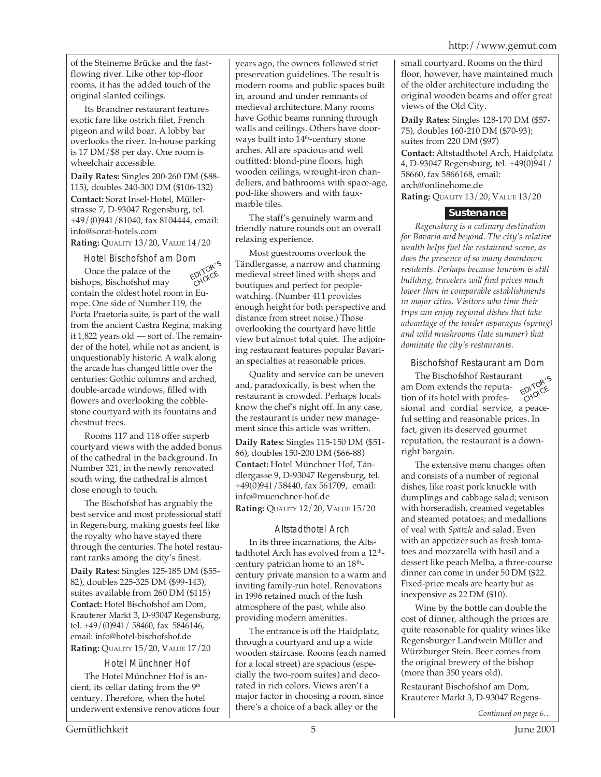of the Steinerne Brücke and the fastflowing river. Like other top-floor rooms, it has the added touch of the original slanted ceilings.

Its Brandner restaurant features exotic fare like ostrich filet, French pigeon and wild boar. A lobby bar overlooks the river. In-house parking is 17 DM/\$8 per day. One room is wheelchair accessible.

**Daily Rates:** Singles 200-260 DM (\$88- 115), doubles 240-300 DM (\$106-132) **Contact:** Sorat Insel-Hotel, Müllerstrasse 7, D-93047 Regensburg, tel. +49/(0)941/81040, fax 8104444, email: info@sorat-hotels.com **Rating:** QUALITY 13/20, VALUE 14/20

Hotel Bischofshof am Dom

Once the palace of the bishops, Bischofshof may contain the oldest hotel room in Europe. One side of Number 119, the Porta Praetoria suite, is part of the wall from the ancient Castra Regina, making it 1,822 years old — sort of. The remainder of the hotel, while not as ancient, is unquestionably historic. A walk along the arcade has changed little over the centuries: Gothic columns and arched, double-arcade windows, filled with flowers and overlooking the cobblestone courtyard with its fountains and chestnut trees. EDITOR'<sup>S</sup> CHOICE

Rooms 117 and 118 offer superb courtyard views with the added bonus of the cathedral in the background. In Number 321, in the newly renovated south wing, the cathedral is almost close enough to touch.

The Bischofshof has arguably the best service and most professional staff in Regensburg, making guests feel like the royalty who have stayed there through the centuries. The hotel restaurant ranks among the city's finest. **Daily Rates:** Singles 125-185 DM (\$55- 82), doubles 225-325 DM (\$99-143), suites available from 260 DM (\$115) **Contact:** Hotel Bischofshof am Dom, Krauterer Markt 3, D-93047 Regensburg, tel. +49/(0)941/ 58460, fax 5846146, email: info@hotel-bischofshof.de **Rating:** QUALITY 15/20, VALUE 17/20

Hotel Münchner Hof The Hotel Münchner Hof is ancient, its cellar dating from the 9<sup>th</sup> century. Therefore, when the hotel underwent extensive renovations four years ago, the owners followed strict preservation guidelines. The result is modern rooms and public spaces built in, around and under remnants of medieval architecture. Many rooms have Gothic beams running through walls and ceilings. Others have doorways built into 14<sup>th</sup>-century stone arches. All are spacious and well outfitted: blond-pine floors, high wooden ceilings, wrought-iron chandeliers, and bathrooms with space-age, pod-like showers and with fauxmarble tiles.

The staff's genuinely warm and friendly nature rounds out an overall relaxing experience.

Most guestrooms overlook the Tändlergasse, a narrow and charming medieval street lined with shops and boutiques and perfect for peoplewatching. (Number 411 provides enough height for both perspective and distance from street noise.) Those overlooking the courtyard have little view but almost total quiet. The adjoining restaurant features popular Bavarian specialties at reasonable prices.

Quality and service can be uneven and, paradoxically, is best when the restaurant is crowded. Perhaps locals know the chef's night off. In any case, the restaurant is under new management since this article was written.

**Daily Rates:** Singles 115-150 DM (\$51- 66), doubles 150-200 DM (\$66-88) **Contact:** Hotel Münchner Hof, Tändlergasse 9, D-93047 Regensburg, tel. +49(0)941/58440, fax 561709, email: info@muenchner-hof.de

**Rating:** QUALITY 12/20, VALUE 15/20

#### Altstadthotel Arch

In its three incarnations, the Altstadthotel Arch has evolved from a 12<sup>th</sup>century patrician home to an 18<sup>th</sup>century private mansion to a warm and inviting family-run hotel. Renovations in 1996 retained much of the lush atmosphere of the past, while also providing modern amenities.

The entrance is off the Haidplatz, through a courtyard and up a wide wooden staircase. Rooms (each named for a local street) are spacious (especially the two-room suites) and decorated in rich colors. Views aren't a major factor in choosing a room, since there's a choice of a back alley or the

small courtyard. Rooms on the third floor, however, have maintained much of the older architecture including the original wooden beams and offer great views of the Old City.

**Daily Rates:** Singles 128-170 DM (\$57- 75), doubles 160-210 DM (\$70-93); suites from 220 DM (\$97)

**Contact:** Altstadthotel Arch, Haidplatz 4, D-93047 Regensburg, tel. +49(0)941/ 58660, fax 5866168, email: arch@onlinehome.de **Rating:** QUALITY 13/20, VALUE 13/20

#### **Sustenance**

*Regensburg is a culinary destination for Bavaria and beyond. The city's relative wealth helps fuel the restaurant scene, as does the presence of so many downtown residents. Perhaps because tourism is still building, travelers will find prices much lower than in comparable establishments in major cities. Visitors who time their trips can enjoy regional dishes that take advantage of the tender asparagus (spring) and wild mushrooms (late summer) that dominate the city's restaurants.*

#### Bischofshof Restaurant am Dom

The Bischofshof Restaurant am Dom extends the reputaam Dom extends the reputa-<br>tion of its hotel with profession of its hotel with profes-<br>sional and cordial service, a peaceful setting and reasonable prices. In fact, given its deserved gourmet reputation, the restaurant is a downright bargain.

The extensive menu changes often and consists of a number of regional dishes, like roast pork knuckle with dumplings and cabbage salad; venison with horseradish, creamed vegetables and steamed potatoes; and medallions of veal with *Spätzle* and salad. Even with an appetizer such as fresh tomatoes and mozzarella with basil and a dessert like peach Melba, a three-course dinner can come in under 50 DM (\$22. Fixed-price meals are hearty but as inexpensive as 22 DM (\$10).

Wine by the bottle can double the cost of dinner, although the prices are quite reasonable for quality wines like Regensburger Landwein Müller and Würzburger Stein. Beer comes from the original brewery of the bishop (more than 350 years old).

Restaurant Bischofshof am Dom, Krauterer Markt 3, D-93047 Regens-

*Continued on page 6…*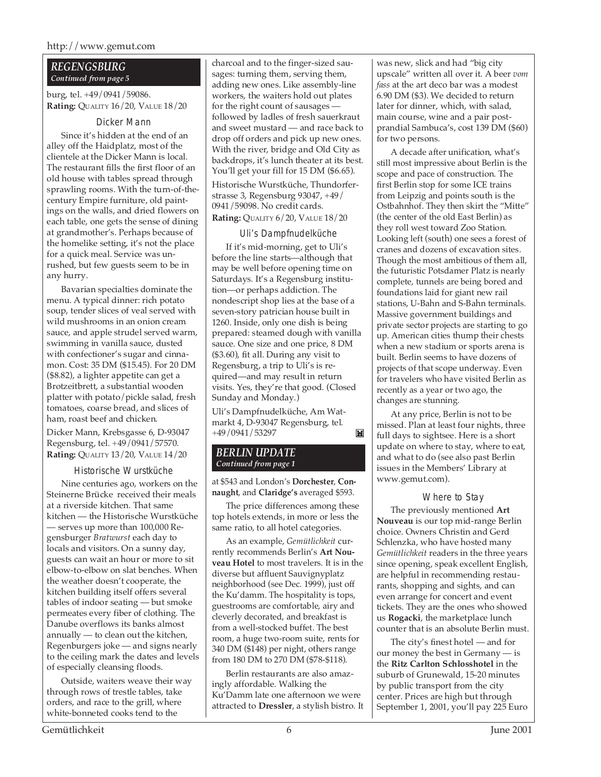#### *REGENGSBURG Continued from page 5*

burg, tel. +49/0941/59086. **Rating:** QUALITY 16/20, VALUE 18/20

#### Dicker Mann

Since it's hidden at the end of an alley off the Haidplatz, most of the clientele at the Dicker Mann is local. The restaurant fills the first floor of an old house with tables spread through sprawling rooms. With the turn-of-thecentury Empire furniture, old paintings on the walls, and dried flowers on each table, one gets the sense of dining at grandmother's. Perhaps because of the homelike setting, it's not the place for a quick meal. Service was unrushed, but few guests seem to be in any hurry.

Bavarian specialties dominate the menu. A typical dinner: rich potato soup, tender slices of veal served with wild mushrooms in an onion cream sauce, and apple strudel served warm, swimming in vanilla sauce, dusted with confectioner's sugar and cinnamon. Cost: 35 DM (\$15.45). For 20 DM (\$8.82), a lighter appetite can get a Brotzeitbrett, a substantial wooden platter with potato/pickle salad, fresh tomatoes, coarse bread, and slices of ham, roast beef and chicken.

Dicker Mann, Krebsgasse 6, D-93047 Regensburg, tel. +49/0941/57570. **Rating:** QUALITY 13/20, VALUE 14/20

#### Historische Wurstküche

Nine centuries ago, workers on the Steinerne Brücke received their meals at a riverside kitchen. That same kitchen — the Historische Wurstküche — serves up more than 100,000 Regensburger *Bratwurst* each day to locals and visitors. On a sunny day, guests can wait an hour or more to sit elbow-to-elbow on slat benches. When the weather doesn't cooperate, the kitchen building itself offers several tables of indoor seating — but smoke permeates every fiber of clothing. The Danube overflows its banks almost annually — to clean out the kitchen, Regenburgers joke — and signs nearly to the ceiling mark the dates and levels of especially cleansing floods.

Outside, waiters weave their way through rows of trestle tables, take orders, and race to the grill, where white-bonneted cooks tend to the

charcoal and to the finger-sized sausages: turning them, serving them, adding new ones. Like assembly-line workers, the waiters hold out plates for the right count of sausages followed by ladles of fresh sauerkraut and sweet mustard — and race back to drop off orders and pick up new ones. With the river, bridge and Old City as backdrops, it's lunch theater at its best. You'll get your fill for 15 DM (\$6.65).

Historische Wurstküche, Thundorferstrasse 3, Regensburg 93047, +49/ 0941/59098. No credit cards. **Rating:** QUALITY 6/20, VALUE 18/20

#### Uli's Dampfnudelküche

If it's mid-morning, get to Uli's before the line starts—although that may be well before opening time on Saturdays. It's a Regensburg institution—or perhaps addiction. The nondescript shop lies at the base of a seven-story patrician house built in 1260. Inside, only one dish is being prepared: steamed dough with vanilla sauce. One size and one price, 8 DM (\$3.60), fit all. During any visit to Regensburg, a trip to Uli's is required—and may result in return visits. Yes, they're that good. (Closed Sunday and Monday.)

Uli's Dampfnudelküche, Am Watmarkt 4, D-93047 Regensburg, tel. +49/0941/53297

 $\mathbb{M}$ 

#### *BERLIN UPDATE Continued from page 1*

at \$543 and London's **Dorchester**, **Connaught**, and **Claridge's** averaged \$593.

The price differences among these top hotels extends, in more or less the same ratio, to all hotel categories.

As an example, *Gemütlichkeit* currently recommends Berlin's **Art Nouveau Hotel** to most travelers. It is in the diverse but affluent Sauvignyplatz neighborhood (see Dec. 1999), just off the Ku'damm. The hospitality is tops, guestrooms are comfortable, airy and cleverly decorated, and breakfast is from a well-stocked buffet. The best room, a huge two-room suite, rents for 340 DM (\$148) per night, others range from 180 DM to 270 DM (\$78-\$118).

Berlin restaurants are also amazingly affordable. Walking the Ku'Damm late one afternoon we were attracted to **Dressler**, a stylish bistro. It was new, slick and had "big city upscale" written all over it. A beer *vom fass* at the art deco bar was a modest 6.90 DM (\$3). We decided to return later for dinner, which, with salad, main course, wine and a pair postprandial Sambuca's, cost 139 DM (\$60) for two persons.

A decade after unification, what's still most impressive about Berlin is the scope and pace of construction. The first Berlin stop for some ICE trains from Leipzig and points south is the Ostbahnhof. They then skirt the "Mitte" (the center of the old East Berlin) as they roll west toward Zoo Station. Looking left (south) one sees a forest of cranes and dozens of excavation sites. Though the most ambitious of them all, the futuristic Potsdamer Platz is nearly complete, tunnels are being bored and foundations laid for giant new rail stations, U-Bahn and S-Bahn terminals. Massive government buildings and private sector projects are starting to go up. American cities thump their chests when a new stadium or sports arena is built. Berlin seems to have dozens of projects of that scope underway. Even for travelers who have visited Berlin as recently as a year or two ago, the changes are stunning.

At any price, Berlin is not to be missed. Plan at least four nights, three full days to sightsee. Here is a short update on where to stay, where to eat, and what to do (see also past Berlin issues in the Members' Library at www.gemut.com).

#### Where to Stay

The previously mentioned **Art Nouveau** is our top mid-range Berlin choice. Owners Christin and Gerd Schlenzka, who have hosted many *Gemütlichkeit* readers in the three years since opening, speak excellent English, are helpful in recommending restaurants, shopping and sights, and can even arrange for concert and event tickets. They are the ones who showed us **Rogacki**, the marketplace lunch counter that is an absolute Berlin must.

The city's finest hotel — and for our money the best in Germany — is the **Ritz Carlton Schlosshotel** in the suburb of Grunewald, 15-20 minutes by public transport from the city center. Prices are high but through September 1, 2001, you'll pay 225 Euro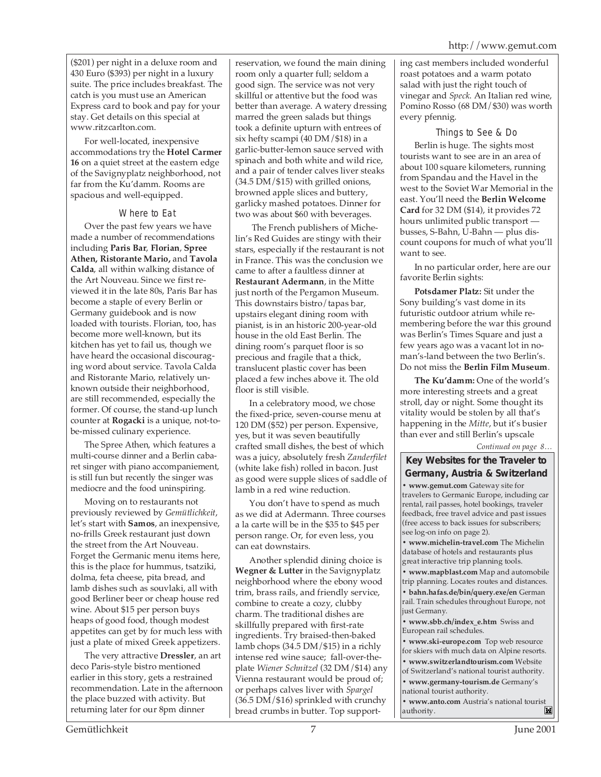(\$201) per night in a deluxe room and 430 Euro (\$393) per night in a luxury suite. The price includes breakfast. The catch is you must use an American Express card to book and pay for your stay. Get details on this special at www.ritzcarlton.com.

For well-located, inexpensive accommodations try the **Hotel Carmer 16** on a quiet street at the eastern edge of the Savignyplatz neighborhood, not far from the Ku'damm. Rooms are spacious and well-equipped.

#### Where to Eat

Over the past few years we have made a number of recommendations including **Paris Bar**, **Florian**, **Spree Athen, Ristorante Mario,** and **Tavola Calda**, all within walking distance of the Art Nouveau. Since we first reviewed it in the late 80s, Paris Bar has become a staple of every Berlin or Germany guidebook and is now loaded with tourists. Florian, too, has become more well-known, but its kitchen has yet to fail us, though we have heard the occasional discouraging word about service. Tavola Calda and Ristorante Mario, relatively unknown outside their neighborhood, are still recommended, especially the former. Of course, the stand-up lunch counter at **Rogacki** is a unique, not-tobe-missed culinary experience.

The Spree Athen, which features a multi-course dinner and a Berlin cabaret singer with piano accompaniement, is still fun but recently the singer was mediocre and the food uninspiring.

Moving on to restaurants not previously reviewed by *Gemütlichkeit*, let's start with **Samos**, an inexpensive, no-frills Greek restaurant just down the street from the Art Nouveau. Forget the Germanic menu items here, this is the place for hummus, tsatziki, dolma, feta cheese, pita bread, and lamb dishes such as souvlaki, all with good Berliner beer or cheap house red wine. About \$15 per person buys heaps of good food, though modest appetites can get by for much less with just a plate of mixed Greek appetizers.

The very attractive **Dressler**, an art deco Paris-style bistro mentioned earlier in this story, gets a restrained recommendation. Late in the afternoon the place buzzed with activity. But returning later for our 8pm dinner

reservation, we found the main dining room only a quarter full; seldom a good sign. The service was not very skillful or attentive but the food was better than average. A watery dressing marred the green salads but things took a definite upturn with entrees of six hefty scampi (40 DM/\$18) in a garlic-butter-lemon sauce served with spinach and both white and wild rice, and a pair of tender calves liver steaks (34.5 DM/\$15) with grilled onions, browned apple slices and buttery, garlicky mashed potatoes. Dinner for two was about \$60 with beverages.

 The French publishers of Michelin's Red Guides are stingy with their stars, especially if the restaurant is not in France. This was the conclusion we came to after a faultless dinner at **Restaurant Adermann**, in the Mitte just north of the Pergamon Museum. This downstairs bistro/tapas bar, upstairs elegant dining room with pianist, is in an historic 200-year-old house in the old East Berlin. The dining room's parquet floor is so precious and fragile that a thick, translucent plastic cover has been placed a few inches above it. The old floor is still visible.

In a celebratory mood, we chose the fixed-price, seven-course menu at 120 DM (\$52) per person. Expensive, yes, but it was seven beautifully crafted small dishes, the best of which was a juicy, absolutely fresh *Zanderfilet* (white lake fish) rolled in bacon. Just as good were supple slices of saddle of lamb in a red wine reduction.

You don't have to spend as much as we did at Adermann. Three courses a la carte will be in the \$35 to \$45 per person range. Or, for even less, you can eat downstairs.

Another splendid dining choice is **Wegner & Lutter** in the Savignyplatz neighborhood where the ebony wood trim, brass rails, and friendly service, combine to create a cozy, clubby charm. The traditional dishes are skillfully prepared with first-rate ingredients. Try braised-then-baked lamb chops (34.5 DM/\$15) in a richly intense red wine sauce; fall-over-theplate *Wiener Schnitzel* (32 DM/\$14) any Vienna restaurant would be proud of; or perhaps calves liver with *Spargel* (36.5 DM/\$16) sprinkled with crunchy bread crumbs in butter. Top supporting cast members included wonderful roast potatoes and a warm potato salad with just the right touch of vinegar and *Speck*. An Italian red wine, Pomino Rosso (68 DM/\$30) was worth every pfennig.

#### Things to See & Do

Berlin is huge. The sights most tourists want to see are in an area of about 100 square kilometers, running from Spandau and the Havel in the west to the Soviet War Memorial in the east. You'll need the **Berlin Welcome Card** for 32 DM (\$14), it provides 72 hours unlimited public transport busses, S-Bahn, U-Bahn — plus discount coupons for much of what you'll want to see.

In no particular order, here are our favorite Berlin sights:

**Potsdamer Platz:** Sit under the Sony building's vast dome in its futuristic outdoor atrium while remembering before the war this ground was Berlin's Times Square and just a few years ago was a vacant lot in noman's-land between the two Berlin's. Do not miss the **Berlin Film Museum**.

**The Ku'damm:** One of the world's more interesting streets and a great stroll, day or night. Some thought its vitality would be stolen by all that's happening in the *Mitte*, but it's busier than ever and still Berlin's upscale

*Continued on page 8…*

#### **Key Websites for the Traveler to Germany, Austria & Switzerland**

**• www.gemut.com** Gateway site for travelers to Germanic Europe, including car rental, rail passes, hotel bookings, traveler feedback, free travel advice and past issues (free access to back issues for subscribers; see log-on info on page 2).

**• www.michelin-travel.com** The Michelin database of hotels and restaurants plus great interactive trip planning tools.

**• www.mapblast.com** Map and automobile trip planning. Locates routes and distances.

**• bahn.hafas.de/bin/query.exe/en** German rail. Train schedules throughout Europe, not just Germany.

**• www.sbb.ch/index\_e.htm** Swiss and European rail schedules.

**• www.ski-europe.com** Top web resource for skiers with much data on Alpine resorts.

**• www.switzerlandtourism.com** Website of Switzerland's national tourist authority.

**• www.germany-tourism.de** Germany's national tourist authority.

**• www.anto.com** Austria's national tourist authority. authority.